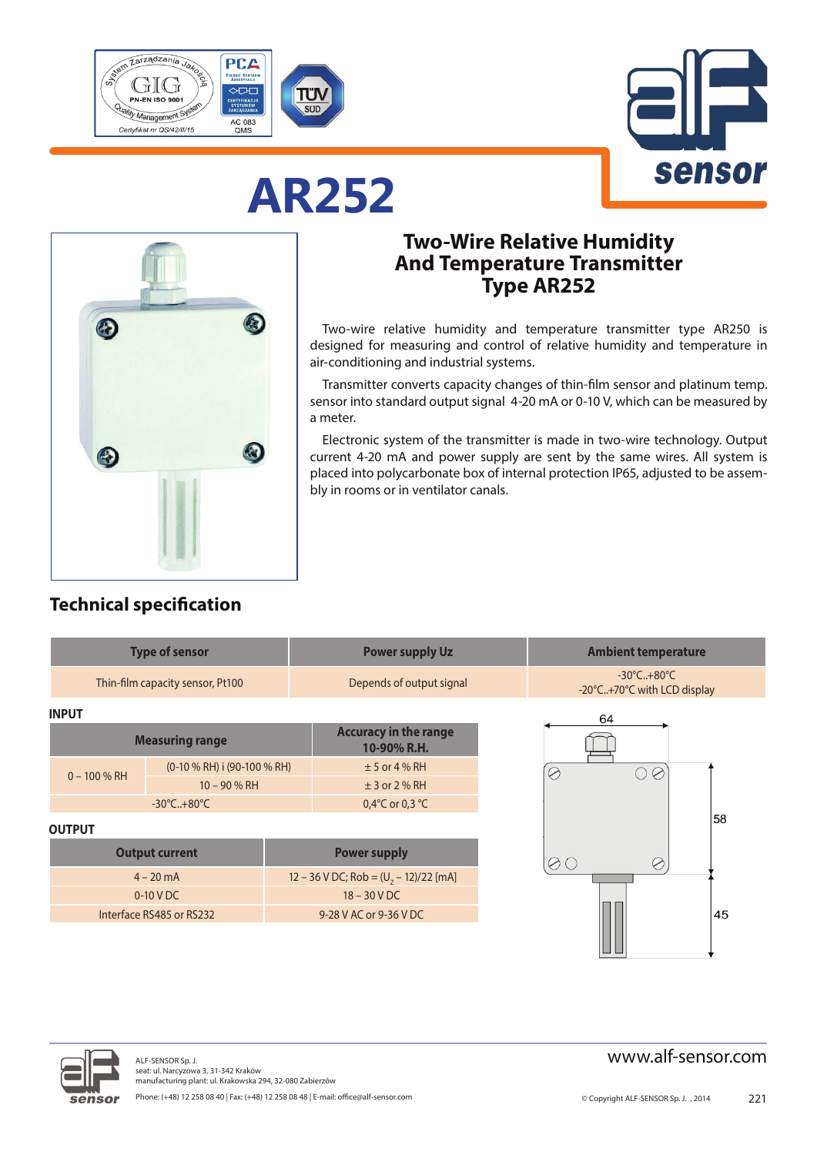

**AR252**



# $\mathbf{r}$ C.  $\left( \frac{1}{2} \right)$  $\bigoplus$

## **Two-Wire Relative Humidity And Temperature Transmitter Type AR252**

Two-wire relative humidity and temperature transmitter type AR250 is designed for measuring and control of relative humidity and temperature in air-conditioning and industrial systems.

Transmitter converts capacity changes of thin-film sensor and platinum temp. sensor into standard output signal 4-20 mA or 0-10 V, which can be measured by a meter.

Electronic system of the transmitter is made in two-wire technology. Output current 4-20 mA and power supply are sent by the same wires. All system is placed into polycarbonate box of internal protection IP65, adjusted to be assembly in rooms or in ventilator canals.

#### **Technical specification**

| <b>Type of sensor</b>            |                                |                                             | <b>Power supply Uz</b>                  |                                                                | <b>Ambient temperature</b> |  |
|----------------------------------|--------------------------------|---------------------------------------------|-----------------------------------------|----------------------------------------------------------------|----------------------------|--|
| Thin-film capacity sensor, Pt100 |                                | Depends of output signal                    |                                         | $-30^{\circ}$ C $+80^{\circ}$ C<br>-20°C+70°C with LCD display |                            |  |
| <b>INPUT</b>                     |                                |                                             |                                         |                                                                | 64                         |  |
| <b>Measuring range</b>           |                                | <b>Accuracy in the range</b><br>10-90% R.H. |                                         |                                                                |                            |  |
| $0 - 100 \% RH$                  | $(0-10 % RH)$ i $(90-100 %RH)$ |                                             | $± 5$ or 4 % RH                         |                                                                | C<br>$\oslash$<br>E.       |  |
|                                  | $10 - 90 % RH$                 |                                             | $±$ 3 or 2 % RH                         |                                                                |                            |  |
| $-30^{\circ}$ C $+80^{\circ}$ C  |                                | 0,4 $\degree$ C or 0,3 $\degree$ C          |                                         |                                                                |                            |  |
| <b>OUTPUT</b>                    |                                |                                             |                                         |                                                                | 58                         |  |
| <b>Output current</b>            |                                |                                             | <b>Power supply</b>                     |                                                                | $\emptyset$ C<br>Ø         |  |
| $4 - 20$ mA                      |                                |                                             | 12 – 36 V DC; Rob = $(U7 - 12)/22$ [mA] |                                                                |                            |  |
| $0-10$ V DC                      |                                |                                             | $18 - 30$ V DC                          |                                                                |                            |  |
| Interface RS485 or RS232         |                                |                                             | 9-28 V AC or 9-36 V DC                  |                                                                | 45                         |  |
|                                  |                                |                                             |                                         |                                                                |                            |  |